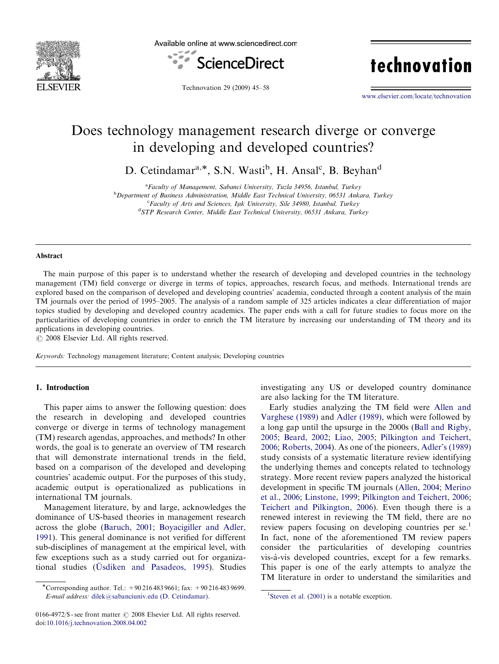

Available online at www.sciencedirect.com



technovation

Technovation 29 (2009) 45–58

<www.elsevier.com/locate/technovation>

## Does technology management research diverge or converge in developing and developed countries?

D. Cetindamar<sup>a,\*</sup>, S.N. Wasti<sup>b</sup>, H. Ansal<sup>c</sup>, B. Beyhan<sup>d</sup>

<sup>a</sup> Faculty of Management, Sabanci University, Tuzla 34956, Istanbul, Turkey

<sup>b</sup>Department of Business Administration, Middle East Technical University, 06531 Ankara, Turkey

<sup>c</sup>Faculty of Arts and Sciences, Işık University, Sile 34980, Istanbul, Turkey

<sup>d</sup>STP Research Center, Middle East Technical University, 06531 Ankara, Turkey

#### Abstract

The main purpose of this paper is to understand whether the research of developing and developed countries in the technology management (TM) field converge or diverge in terms of topics, approaches, research focus, and methods. International trends are explored based on the comparison of developed and developing countries' academia, conducted through a content analysis of the main TM journals over the period of 1995–2005. The analysis of a random sample of 325 articles indicates a clear differentiation of major topics studied by developing and developed country academics. The paper ends with a call for future studies to focus more on the particularities of developing countries in order to enrich the TM literature by increasing our understanding of TM theory and its applications in developing countries.

 $C$  2008 Elsevier Ltd. All rights reserved.

Keywords: Technology management literature; Content analysis; Developing countries

### 1. Introduction

This paper aims to answer the following question: does the research in developing and developed countries converge or diverge in terms of technology management (TM) research agendas, approaches, and methods? In other words, the goal is to generate an overview of TM research that will demonstrate international trends in the field, based on a comparison of the developed and developing countries' academic output. For the purposes of this study, academic output is operationalized as publications in international TM journals.

Management literature, by and large, acknowledges the dominance of US-based theories in management research across the globe ([Baruch, 2001](#page--1-0); [Boyacigiller and Adler,](#page--1-0) [1991](#page--1-0)). This general dominance is not verified for different sub-disciplines of management at the empirical level, with few exceptions such as a study carried out for organizational studies (Üsdiken and Pasadeos, 1995). Studies investigating any US or developed country dominance are also lacking for the TM literature.

Early studies analyzing the TM field were [Allen and](#page--1-0) [Varghese \(1989\)](#page--1-0) and [Adler \(1989\),](#page--1-0) which were followed by a long gap until the upsurge in the 2000s ([Ball and Rigby,](#page--1-0) [2005](#page--1-0); [Beard, 2002;](#page--1-0) [Liao, 2005;](#page--1-0) [Pilkington and Teichert,](#page--1-0) [2006](#page--1-0); [Roberts, 2004\)](#page--1-0). As one of the pioneers, [Adler's \(1989\)](#page--1-0) study consists of a systematic literature review identifying the underlying themes and concepts related to technology strategy. More recent review papers analyzed the historical development in specific TM journals ([Allen, 2004;](#page--1-0) [Merino](#page--1-0) [et al., 2006](#page--1-0); [Linstone, 1999;](#page--1-0) [Pilkington and Teichert, 2006;](#page--1-0) [Teichert and Pilkington, 2006\)](#page--1-0). Even though there is a renewed interest in reviewing the TM field, there are no review papers focusing on developing countries per se.<sup>1</sup> In fact, none of the aforementioned TM review papers consider the particularities of developing countries vis-a`-vis developed countries, except for a few remarks. This paper is one of the early attempts to analyze the TM literature in order to understand the similarities and

<sup>-</sup>Corresponding author. Tel.: +90 216 483 9661; fax: +90 216 483 9699. E-mail address: [dilek@sabanciuniv.edu \(D. Cetindamar\).](mailto:dilek@sabanciuniv.edu) <sup>1</sup>

<sup>0166-4972/\$ -</sup> see front matter  $\odot$  2008 Elsevier Ltd. All rights reserved. doi:[10.1016/j.technovation.2008.04.002](dx.doi.org/10.1016/j.technovation.2008.04.002)

<sup>&</sup>lt;sup>1</sup>Steven et al.  $(2001)$  is a notable exception.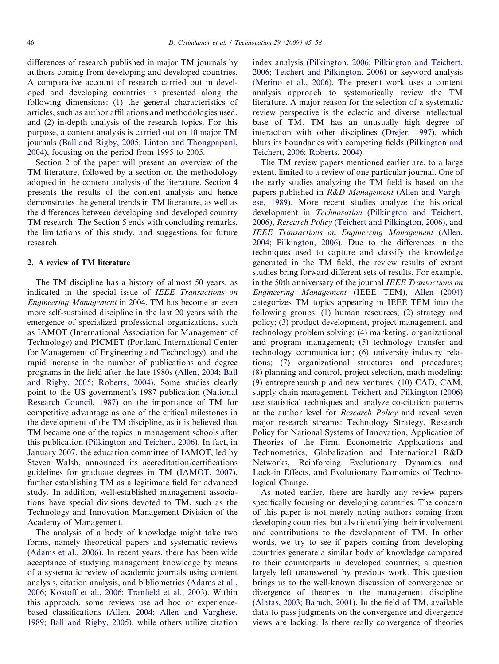differences of research published in major TM journals by authors coming from developing and developed countries. A comparative account of research carried out in developed and developing countries is presented along the following dimensions: (1) the general characteristics of articles, such as author affiliations and methodologies used, and (2) in-depth analysis of the research topics. For this purpose, a content analysis is carried out on 10 major TM journals [\(Ball and Rigby, 2005;](#page--1-0) [Linton and Thongpapanl,](#page--1-0) [2004\)](#page--1-0), focusing on the period from 1995 to 2005.

Section 2 of the paper will present an overview of the TM literature, followed by a section on the methodology adopted in the content analysis of the literature. Section 4 presents the results of the content analysis and hence demonstrates the general trends in TM literature, as well as the differences between developing and developed country TM research. The Section 5 ends with concluding remarks, the limitations of this study, and suggestions for future research.

#### 2. A review of TM literature

The TM discipline has a history of almost 50 years, as indicated in the special issue of IEEE Transactions on Engineering Management in 2004. TM has become an even more self-sustained discipline in the last 20 years with the emergence of specialized professional organizations, such as IAMOT (International Association for Management of Technology) and PICMET (Portland International Center for Management of Engineering and Technology), and the rapid increase in the number of publications and degree programs in the field after the late 1980s [\(Allen, 2004](#page--1-0); [Ball](#page--1-0) [and Rigby, 2005;](#page--1-0) [Roberts, 2004\)](#page--1-0). Some studies clearly point to the US government's 1987 publication ([National](#page--1-0) [Research Council, 1987](#page--1-0)) on the importance of TM for competitive advantage as one of the critical milestones in the development of the TM discipline, as it is believed that TM became one of the topics in management schools after this publication ([Pilkington and Teichert, 2006\)](#page--1-0). In fact, in January 2007, the education committee of IAMOT, led by Steven Walsh, announced its accreditation/certifications guidelines for graduate degrees in TM [\(IAMOT, 2007\)](#page--1-0), further establishing TM as a legitimate field for advanced study. In addition, well-established management associations have special divisions devoted to TM, such as the Technology and Innovation Management Division of the Academy of Management.

The analysis of a body of knowledge might take two forms, namely theoretical papers and systematic reviews [\(Adams et al., 2006\)](#page--1-0). In recent years, there has been wide acceptance of studying management knowledge by means of a systematic review of academic journals using content analysis, citation analysis, and bibliometrics ([Adams et al.,](#page--1-0) [2006;](#page--1-0) [Kostoff et al., 2006](#page--1-0); [Tranfield et al., 2003](#page--1-0)). Within this approach, some reviews use ad hoc or experiencebased classifications ([Allen, 2004](#page--1-0); [Allen and Varghese,](#page--1-0) [1989;](#page--1-0) [Ball and Rigby, 2005\)](#page--1-0), while others utilize citation

index analysis [\(Pilkington, 2006](#page--1-0); [Pilkington and Teichert,](#page--1-0) [2006;](#page--1-0) [Teichert and Pilkington, 2006](#page--1-0)) or keyword analysis [\(Merino et al., 2006\)](#page--1-0). The present work uses a content analysis approach to systematically review the TM literature. A major reason for the selection of a systematic review perspective is the eclectic and diverse intellectual base of TM. TM has an unusually high degree of interaction with other disciplines ([Drejer, 1997\)](#page--1-0), which blurs its boundaries with competing fields ([Pilkington and](#page--1-0) [Teichert, 2006;](#page--1-0) [Roberts, 2004\)](#page--1-0).

The TM review papers mentioned earlier are, to a large extent, limited to a review of one particular journal. One of the early studies analyzing the TM field is based on the papers published in R&D Management ([Allen and Vargh](#page--1-0)[ese, 1989\)](#page--1-0). More recent studies analyze the historical development in Technovation ([Pilkington and Teichert,](#page--1-0) [2006\)](#page--1-0), Research Policy ([Teichert and Pilkington, 2006](#page--1-0)), and IEEE Transactions on Engineering Management [\(Allen,](#page--1-0) [2004;](#page--1-0) [Pilkington, 2006\)](#page--1-0). Due to the differences in the techniques used to capture and classify the knowledge generated in the TM field, the review results of extant studies bring forward different sets of results. For example, in the 50th anniversary of the journal IEEE Transactions on Engineering Management (IEEE TEM), [Allen \(2004\)](#page--1-0) categorizes TM topics appearing in IEEE TEM into the following groups: (1) human resources; (2) strategy and policy; (3) product development, project management, and technology problem solving; (4) marketing, organizational and program management; (5) technology transfer and technology communication; (6) university–industry relations; (7) organizational structures and procedures; (8) planning and control, project selection, math modeling; (9) entrepreneurship and new ventures; (10) CAD, CAM, supply chain management. [Teichert and Pilkington \(2006\)](#page--1-0) use statistical techniques and analyze co-citation patterns at the author level for Research Policy and reveal seven major research streams: Technology Strategy, Research Policy for National Systems of Innovation, Application of Theories of the Firm, Econometric Applications and Technometrics, Globalization and International R&D Networks, Reinforcing Evolutionary Dynamics and Lock-in Effects, and Evolutionary Economics of Technological Change.

As noted earlier, there are hardly any review papers specifically focusing on developing countries. The concern of this paper is not merely noting authors coming from developing countries, but also identifying their involvement and contributions to the development of TM. In other words, we try to see if papers coming from developing countries generate a similar body of knowledge compared to their counterparts in developed countries; a question largely left unanswered by previous work. This question brings us to the well-known discussion of convergence or divergence of theories in the management discipline [\(Alatas, 2003](#page--1-0); [Baruch, 2001](#page--1-0)). In the field of TM, available data to pass judgments on the convergence and divergence views are lacking. Is there really convergence of theories